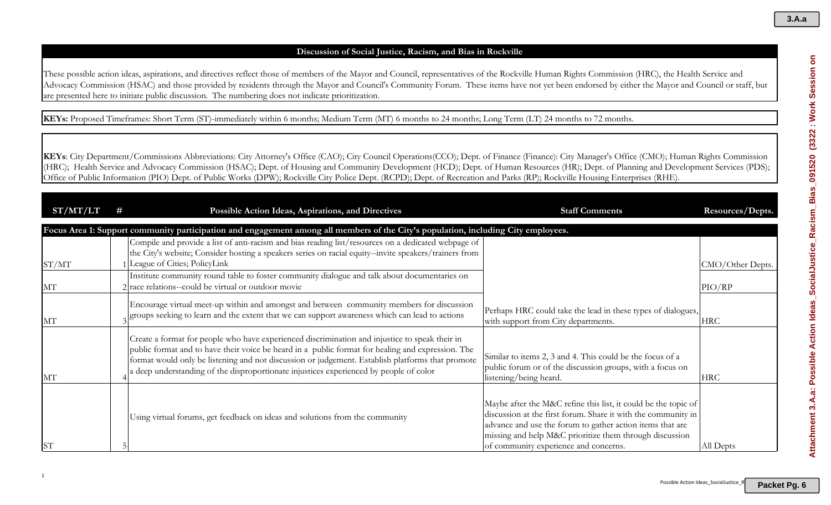# **Discussion of Social Justice, Racism, and Bias in Rockville**

These possible action ideas, aspirations, and directives reflect those of members of the Mayor and Council, representatives of the Rockville Human Rights Commission (HRC), the Health Service and Advocacy Commission (HSAC) and those provided by residents through the Mayor and Council's Community Forum. These items have not yet been endorsed by either the Mayor and Council or staff, but are presented here to initiate public discussion. The numbering does not indicate prioritization.

**KEYs:** Proposed Timeframes: Short Term (ST)-immediately within 6 months; Medium Term (MT) 6 months to 24 months; Long Term (LT) 24 months to 72 months.

| ST/MT/LT  | # | Possible Action Ideas, Aspirations, and Directives                                                                                                                                                                                                                                                                                                                                                | <b>Staff Comments</b>                                                                                                                                                                                                                                                                            | Resources/Depts. |
|-----------|---|---------------------------------------------------------------------------------------------------------------------------------------------------------------------------------------------------------------------------------------------------------------------------------------------------------------------------------------------------------------------------------------------------|--------------------------------------------------------------------------------------------------------------------------------------------------------------------------------------------------------------------------------------------------------------------------------------------------|------------------|
|           |   | Focus Area 1: Support community participation and engagement among all members of the City's population, including City employees.                                                                                                                                                                                                                                                                |                                                                                                                                                                                                                                                                                                  |                  |
| ST/MT     |   | Compile and provide a list of anti-racism and bias reading list/resources on a dedicated webpage of<br>the City's website; Consider hosting a speakers series on racial equity--invite speakers/trainers from<br>League of Cities; PolicyLink                                                                                                                                                     |                                                                                                                                                                                                                                                                                                  | CMO/Other Depts. |
| MT        |   | Institute community round table to foster community dialogue and talk about documentaries on<br>$2$ race relations--could be virtual or outdoor movie                                                                                                                                                                                                                                             |                                                                                                                                                                                                                                                                                                  | PIO/RP           |
| MT        |   | Encourage virtual meet-up within and amongst and between community members for discussion<br>groups seeking to learn and the extent that we can support awareness which can lead to actions                                                                                                                                                                                                       | Perhaps HRC could take the lead in these types of dialogues,<br>with support from City departments.                                                                                                                                                                                              | <b>HRC</b>       |
| MT        |   | Create a format for people who have experienced discrimination and injustice to speak their in<br>public format and to have their voice be heard in a public format for healing and expression. The<br>format would only be listening and not discussion or judgement. Establish platforms that promote<br>a deep understanding of the disproportionate injustices experienced by people of color | Similar to items 2, 3 and 4. This could be the focus of a<br>public forum or of the discussion groups, with a focus on<br>listening/being heard.                                                                                                                                                 | <b>HRC</b>       |
| <b>ST</b> |   | Using virtual forums, get feedback on ideas and solutions from the community                                                                                                                                                                                                                                                                                                                      | Maybe after the M&C refine this list, it could be the topic of<br>discussion at the first forum. Share it with the community in<br>advance and use the forum to gather action items that are<br>missing and help M&C prioritize them through discussion<br>of community experience and concerns. | All Depts        |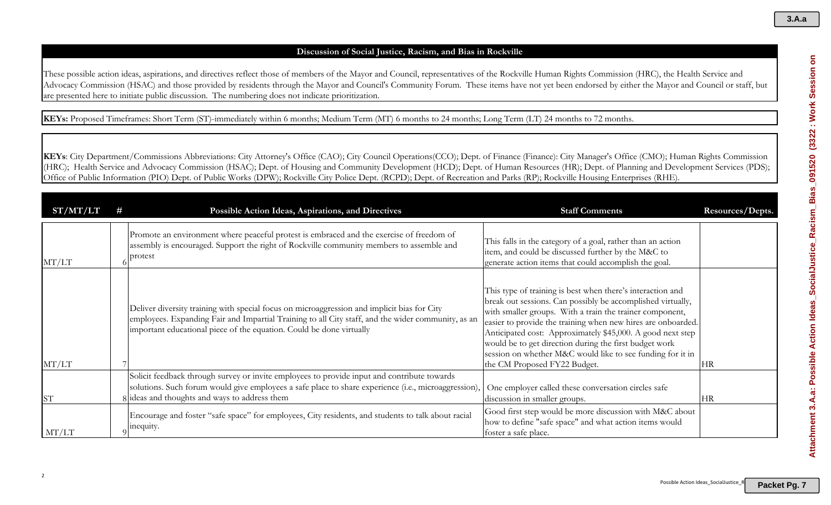# **Discussion of Social Justice, Racism, and Bias in Rockville**

These possible action ideas, aspirations, and directives reflect those of members of the Mayor and Council, representatives of the Rockville Human Rights Commission (HRC), the Health Service and Advocacy Commission (HSAC) and those provided by residents through the Mayor and Council's Community Forum. These items have not yet been endorsed by either the Mayor and Council or staff, but are presented here to initiate public discussion. The numbering does not indicate prioritization.

**KEYs:** Proposed Timeframes: Short Term (ST)-immediately within 6 months; Medium Term (MT) 6 months to 24 months; Long Term (LT) 24 months to 72 months.

**KEYs**: City Department/Commissions Abbreviations: City Attorney's Office (CAO); City Council Operations(CCO); Dept. of Finance (Finance): City Manager's Office (CMO); Human Rights Commission (HRC); Health Service and Advocacy Commission (HSAC); Dept. of Housing and Community Development (HCD); Dept. of Human Resources (HR); Dept. of Planning and Development Services (PDS); Office of Public Information (PIO) Dept. of Public Works (DPW); Rockville City Police Dept. (RCPD); Dept. of Recreation and Parks (RP); Rockville Housing Enterprises (RHE).

| ST/MT/LT  | #         | Possible Action Ideas, Aspirations, and Directives                                                                                                                                                                                                                        | <b>Staff Comments</b>                                                                                                                                                                                                                                                                                                                                                                                                                                                       | Resources/Depts. |
|-----------|-----------|---------------------------------------------------------------------------------------------------------------------------------------------------------------------------------------------------------------------------------------------------------------------------|-----------------------------------------------------------------------------------------------------------------------------------------------------------------------------------------------------------------------------------------------------------------------------------------------------------------------------------------------------------------------------------------------------------------------------------------------------------------------------|------------------|
| MT/LT     | protest   | Promote an environment where peaceful protest is embraced and the exercise of freedom of<br>assembly is encouraged. Support the right of Rockville community members to assemble and                                                                                      | This falls in the category of a goal, rather than an action<br>item, and could be discussed further by the M&C to<br>generate action items that could accomplish the goal.                                                                                                                                                                                                                                                                                                  |                  |
| MT/LT     |           | Deliver diversity training with special focus on microaggression and implicit bias for City<br>employees. Expanding Fair and Impartial Training to all City staff, and the wider community, as an<br>important educational piece of the equation. Could be done virtually | This type of training is best when there's interaction and<br>break out sessions. Can possibly be accomplished virtually,<br>with smaller groups. With a train the trainer component,<br>easier to provide the training when new hires are onboarded.<br>Anticipated cost: Approximately \$45,000. A good next step<br>would be to get direction during the first budget work<br>session on whether M&C would like to see funding for it in<br>the CM Proposed FY22 Budget. | <b>HR</b>        |
| <b>ST</b> |           | Solicit feedback through survey or invite employees to provide input and contribute towards<br>solutions. Such forum would give employees a safe place to share experience (i.e., microaggression),<br>8 ideas and thoughts and ways to address them                      | One employer called these conversation circles safe<br>discussion in smaller groups.                                                                                                                                                                                                                                                                                                                                                                                        | <b>HR</b>        |
| MT/LT     | inequity. | Encourage and foster "safe space" for employees, City residents, and students to talk about racial                                                                                                                                                                        | Good first step would be more discussion with M&C about<br>how to define "safe space" and what action items would<br>foster a safe place.                                                                                                                                                                                                                                                                                                                                   |                  |

**3.A.a**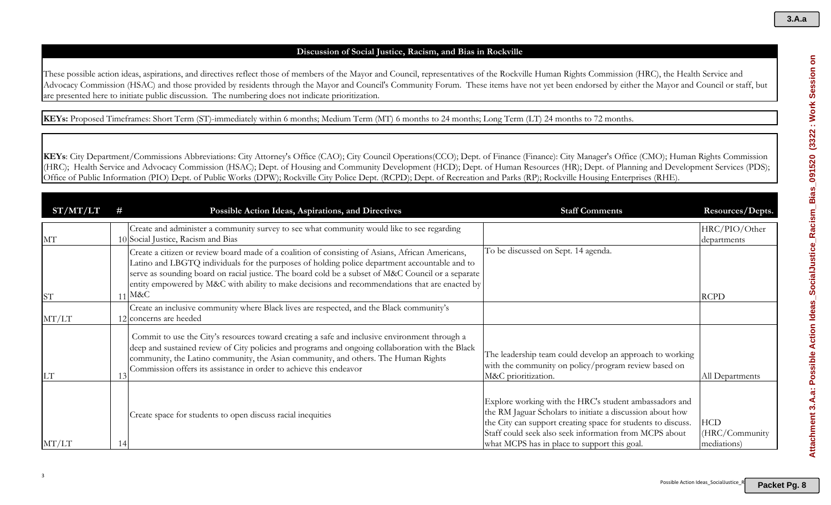# **Discussion of Social Justice, Racism, and Bias in Rockville**

These possible action ideas, aspirations, and directives reflect those of members of the Mayor and Council, representatives of the Rockville Human Rights Commission (HRC), the Health Service and Advocacy Commission (HSAC) and those provided by residents through the Mayor and Council's Community Forum. These items have not yet been endorsed by either the Mayor and Council or staff, but are presented here to initiate public discussion. The numbering does not indicate prioritization.

**KEYs:** Proposed Timeframes: Short Term (ST)-immediately within 6 months; Medium Term (MT) 6 months to 24 months; Long Term (LT) 24 months to 72 months.

| ST/MT/LT  |    | Possible Action Ideas, Aspirations, and Directives                                                                                                                                                                                                                                                                                                                                                                    | <b>Staff Comments</b>                                                                                                                                                                                                                                                                         | Resources/Depts.                            |
|-----------|----|-----------------------------------------------------------------------------------------------------------------------------------------------------------------------------------------------------------------------------------------------------------------------------------------------------------------------------------------------------------------------------------------------------------------------|-----------------------------------------------------------------------------------------------------------------------------------------------------------------------------------------------------------------------------------------------------------------------------------------------|---------------------------------------------|
| MT        |    | Create and administer a community survey to see what community would like to see regarding<br>10 Social Justice, Racism and Bias                                                                                                                                                                                                                                                                                      |                                                                                                                                                                                                                                                                                               | HRC/PIO/Other<br>departments                |
| <b>ST</b> |    | Create a citizen or review board made of a coalition of consisting of Asians, African Americans,<br>Latino and LBGTQ individuals for the purposes of holding police department accountable and to<br>serve as sounding board on racial justice. The board cold be a subset of M&C Council or a separate<br>entity empowered by M&C with ability to make decisions and recommendations that are enacted by<br>$11$ M&C | To be discussed on Sept. 14 agenda.                                                                                                                                                                                                                                                           | <b>RCPD</b>                                 |
| MT/LT     |    | Create an inclusive community where Black lives are respected, and the Black community's<br>12 concerns are heeded                                                                                                                                                                                                                                                                                                    |                                                                                                                                                                                                                                                                                               |                                             |
| LT        |    | Commit to use the City's resources toward creating a safe and inclusive environment through a<br>deep and sustained review of City policies and programs and ongoing collaboration with the Black<br>community, the Latino community, the Asian community, and others. The Human Rights<br>Commission offers its assistance in order to achieve this endeavor                                                         | The leadership team could develop an approach to working<br>with the community on policy/program review based on<br>M&C prioritization.                                                                                                                                                       | All Departments                             |
| MT/LT     | 14 | Create space for students to open discuss racial inequities                                                                                                                                                                                                                                                                                                                                                           | Explore working with the HRC's student ambassadors and<br>the RM Jaguar Scholars to initiate a discussion about how<br>the City can support creating space for students to discuss.<br>Staff could seek also seek information from MCPS about<br>what MCPS has in place to support this goal. | <b>HCD</b><br>(HRC/Community<br>mediations) |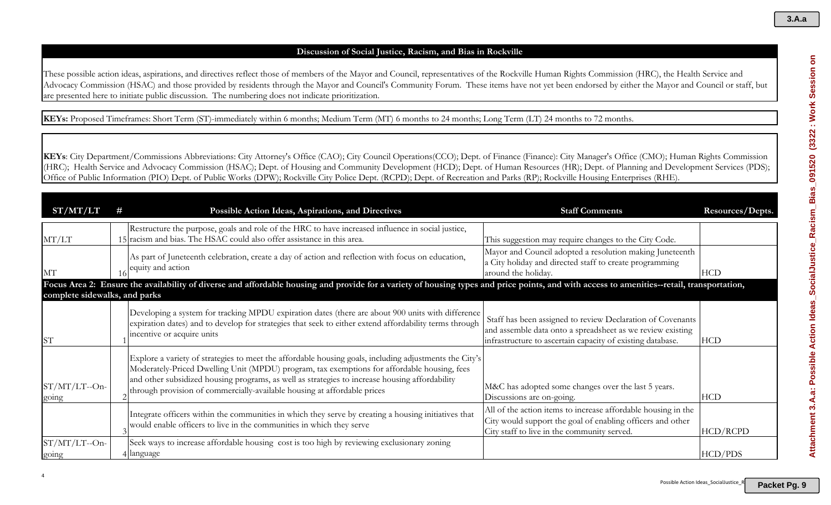# **Discussion of Social Justice, Racism, and Bias in Rockville**

These possible action ideas, aspirations, and directives reflect those of members of the Mayor and Council, representatives of the Rockville Human Rights Commission (HRC), the Health Service and Advocacy Commission (HSAC) and those provided by residents through the Mayor and Council's Community Forum. These items have not yet been endorsed by either the Mayor and Council or staff, but are presented here to initiate public discussion. The numbering does not indicate prioritization.

**KEYs:** Proposed Timeframes: Short Term (ST)-immediately within 6 months; Medium Term (MT) 6 months to 24 months; Long Term (LT) 24 months to 72 months.

| ST/MT/LT                      | Possible Action Ideas, Aspirations, and Directives                                                                                                                                                                                                                                                                                                                                  | <b>Staff Comments</b>                                                                                                                                                                  | Resources/Depts. |
|-------------------------------|-------------------------------------------------------------------------------------------------------------------------------------------------------------------------------------------------------------------------------------------------------------------------------------------------------------------------------------------------------------------------------------|----------------------------------------------------------------------------------------------------------------------------------------------------------------------------------------|------------------|
| MT/LT                         | Restructure the purpose, goals and role of the HRC to have increased influence in social justice,<br>15 racism and bias. The HSAC could also offer assistance in this area.                                                                                                                                                                                                         | This suggestion may require changes to the City Code.                                                                                                                                  |                  |
| MT                            | As part of Juneteenth celebration, create a day of action and reflection with focus on education,<br>equity and action                                                                                                                                                                                                                                                              | Mayor and Council adopted a resolution making Juneteenth<br>a City holiday and directed staff to create programming<br>around the holiday.                                             | <b>HCD</b>       |
| complete sidewalks, and parks | Focus Area 2: Ensure the availability of diverse and affordable housing and provide for a variety of housing types and price points, and with access to amenities--retail, transportation,                                                                                                                                                                                          |                                                                                                                                                                                        |                  |
| <b>ST</b>                     | Developing a system for tracking MPDU expiration dates (there are about 900 units with difference<br>expiration dates) and to develop for strategies that seek to either extend affordability terms through<br>incentive or acquire units                                                                                                                                           | Staff has been assigned to review Declaration of Covenants<br>and assemble data onto a spreadsheet as we review existing<br>infrastructure to ascertain capacity of existing database. | <b>HCD</b>       |
| $ST/MT/LT$ --On-<br>going     | Explore a variety of strategies to meet the affordable housing goals, including adjustments the City's<br>Moderately-Priced Dwelling Unit (MPDU) program, tax exemptions for affordable housing, fees<br>and other subsidized housing programs, as well as strategies to increase housing affordability<br>through provision of commercially-available housing at affordable prices | M&C has adopted some changes over the last 5 years.<br>Discussions are on-going.                                                                                                       | <b>HCD</b>       |
|                               | Integrate officers within the communities in which they serve by creating a housing initiatives that<br>would enable officers to live in the communities in which they serve                                                                                                                                                                                                        | All of the action items to increase affordable housing in the<br>City would support the goal of enabling officers and other<br>City staff to live in the community served.             | HCD/RCPD         |
| ST/MT/LT--On-<br>going        | Seek ways to increase affordable housing cost is too high by reviewing exclusionary zoning<br>4 language                                                                                                                                                                                                                                                                            |                                                                                                                                                                                        | HCD/PDS          |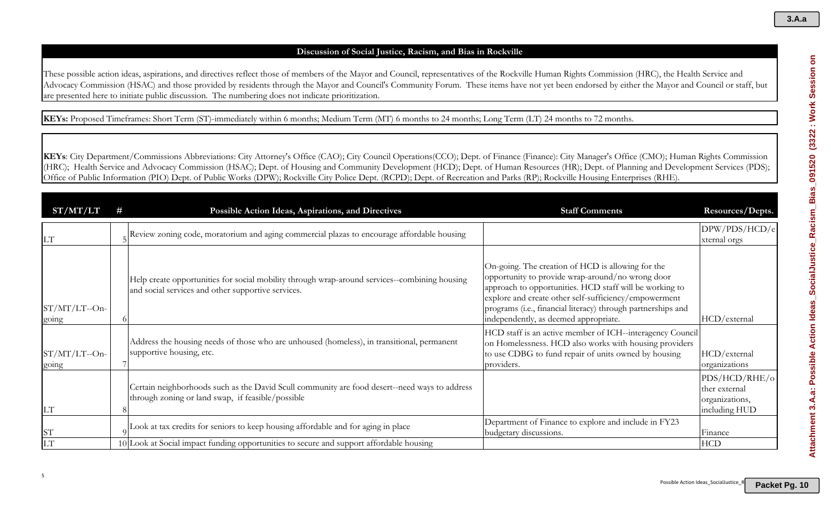# Attachment 3.A.a: Possible Action Ideas\_SocialJustice\_Racism\_Bias\_091520 (3322 : Work Session on **Attachment 3.A.a: Possible Action Ideas\_SocialJustice\_Racism\_Bias\_091520 (3322 : Work Session on**

### **Discussion of Social Justice, Racism, and Bias in Rockville**

These possible action ideas, aspirations, and directives reflect those of members of the Mayor and Council, representatives of the Rockville Human Rights Commission (HRC), the Health Service and Advocacy Commission (HSAC) and those provided by residents through the Mayor and Council's Community Forum. These items have not yet been endorsed by either the Mayor and Council or staff, but are presented here to initiate public discussion. The numbering does not indicate prioritization.

**KEYs:** Proposed Timeframes: Short Term (ST)-immediately within 6 months; Medium Term (MT) 6 months to 24 months; Long Term (LT) 24 months to 72 months.

| ST/MT/LT                  | # | Possible Action Ideas, Aspirations, and Directives                                                                                                  | <b>Staff Comments</b>                                                                                                                                                                                                                                                                                                              | Resources/Depts.                                                  |
|---------------------------|---|-----------------------------------------------------------------------------------------------------------------------------------------------------|------------------------------------------------------------------------------------------------------------------------------------------------------------------------------------------------------------------------------------------------------------------------------------------------------------------------------------|-------------------------------------------------------------------|
| <b>LT</b>                 |   | Review zoning code, moratorium and aging commercial plazas to encourage affordable housing                                                          |                                                                                                                                                                                                                                                                                                                                    | DPW/PDS/HCD/e<br>xternal orgs                                     |
| $ST/MT/LT$ --On-<br>going |   | Help create opportunities for social mobility through wrap-around services--combining housing<br>and social services and other supportive services. | On-going. The creation of HCD is allowing for the<br>opportunity to provide wrap-around/no wrong door<br>approach to opportunities. HCD staff will be working to<br>explore and create other self-sufficiency/empowerment<br>programs (i.e., financial literacy) through partnerships and<br>independently, as deemed appropriate. | HCD/external                                                      |
| $ST/MT/LT$ --On-<br>going |   | Address the housing needs of those who are unhoused (homeless), in transitional, permanent<br>supportive housing, etc.                              | HCD staff is an active member of ICH--interagency Council<br>on Homelessness. HCD also works with housing providers<br>to use CDBG to fund repair of units owned by housing<br>providers.                                                                                                                                          | HCD/external<br>organizations                                     |
| <b>LT</b>                 |   | Certain neighborhoods such as the David Scull community are food desert--need ways to address<br>through zoning or land swap, if feasible/possible  |                                                                                                                                                                                                                                                                                                                                    | PDS/HCD/RHE/o<br>ther external<br>organizations,<br>including HUD |
| <b>ST</b>                 |   | Look at tax credits for seniors to keep housing affordable and for aging in place                                                                   | Department of Finance to explore and include in FY23<br>budgetary discussions.                                                                                                                                                                                                                                                     | Finance                                                           |
| <b>LT</b>                 |   | 10 Look at Social impact funding opportunities to secure and support affordable housing                                                             |                                                                                                                                                                                                                                                                                                                                    | <b>HCD</b>                                                        |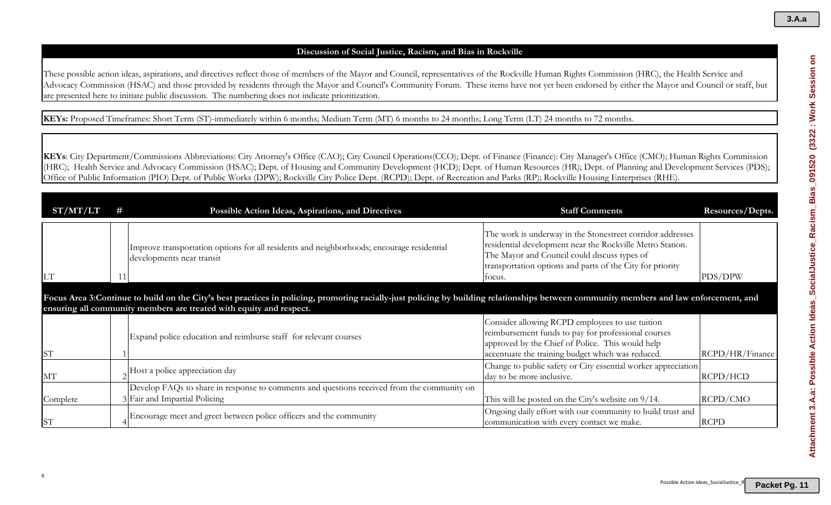# **Discussion of Social Justice, Racism, and Bias in Rockville**

These possible action ideas, aspirations, and directives reflect those of members of the Mayor and Council, representatives of the Rockville Human Rights Commission (HRC), the Health Service and Advocacy Commission (HSAC) and those provided by residents through the Mayor and Council's Community Forum. These items have not yet been endorsed by either the Mayor and Council or staff, but are presented here to initiate public discussion. The numbering does not indicate prioritization.

**KEYs:** Proposed Timeframes: Short Term (ST)-immediately within 6 months; Medium Term (MT) 6 months to 24 months; Long Term (LT) 24 months to 72 months.

| ST/MT/LT  | # | Possible Action Ideas, Aspirations, and Directives                                                                                                                                     | <b>Staff Comments</b>                                                                                                                                                                                                                          | Resources/Depts. |
|-----------|---|----------------------------------------------------------------------------------------------------------------------------------------------------------------------------------------|------------------------------------------------------------------------------------------------------------------------------------------------------------------------------------------------------------------------------------------------|------------------|
| <b>LT</b> |   | Improve transportation options for all residents and neighborhoods; encourage residential<br>developments near transit                                                                 | The work is underway in the Stonestreet corridor addresses<br>residential development near the Rockville Metro Station.<br>The Mayor and Council could discuss types of<br>transportation options and parts of the City for priority<br>focus. | PDS/DPW          |
|           |   | Focus Area 3:Continue to build on the City's best practices in policing, promoting racially-just policing by building relationships between community members and law enforcement, and |                                                                                                                                                                                                                                                |                  |
|           |   | ensuring all community members are treated with equity and respect.                                                                                                                    |                                                                                                                                                                                                                                                |                  |
| <b>ST</b> |   | Expand police education and reimburse staff for relevant courses                                                                                                                       | Consider allowing RCPD employees to use tuition<br>reimbursement funds to pay for professional courses<br>approved by the Chief of Police. This would help<br>accentuate the training budget which was reduced.                                | RCPD/HR/Finance  |
| MT        |   | Host a police appreciation day                                                                                                                                                         | Change to public safety or City essential worker appreciation<br>day to be more inclusive.                                                                                                                                                     | RCPD/HCD         |
|           |   | Develop FAQs to share in response to comments and questions received from the community on                                                                                             |                                                                                                                                                                                                                                                |                  |
| Complete  |   | 3 Fair and Impartial Policing                                                                                                                                                          | This will be posted on the City's website on 9/14.                                                                                                                                                                                             | RCPD/CMO         |
| <b>ST</b> |   | Encourage meet and greet between police officers and the community                                                                                                                     | Ongoing daily effort with our community to build trust and<br>communication with every contact we make.                                                                                                                                        | <b>RCPD</b>      |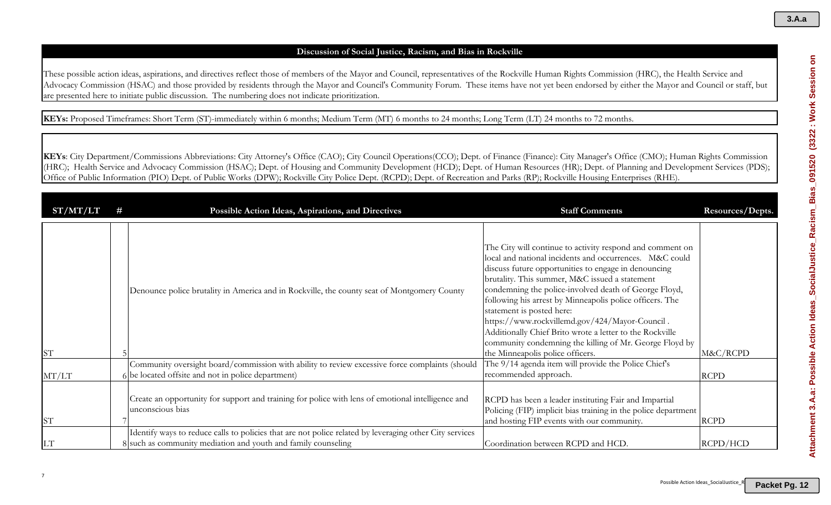# **Discussion of Social Justice, Racism, and Bias in Rockville**

These possible action ideas, aspirations, and directives reflect those of members of the Mayor and Council, representatives of the Rockville Human Rights Commission (HRC), the Health Service and Advocacy Commission (HSAC) and those provided by residents through the Mayor and Council's Community Forum. These items have not yet been endorsed by either the Mayor and Council or staff, but are presented here to initiate public discussion. The numbering does not indicate prioritization.

**KEYs:** Proposed Timeframes: Short Term (ST)-immediately within 6 months; Medium Term (MT) 6 months to 24 months; Long Term (LT) 24 months to 72 months.

| ST/MT/LT  | Possible Action Ideas, Aspirations, and Directives                                                                                                                       | <b>Staff Comments</b>                                                                                                                                                                                                                                                                                                                                                                                                                                                                                                                                                                         | Resources/Depts. |
|-----------|--------------------------------------------------------------------------------------------------------------------------------------------------------------------------|-----------------------------------------------------------------------------------------------------------------------------------------------------------------------------------------------------------------------------------------------------------------------------------------------------------------------------------------------------------------------------------------------------------------------------------------------------------------------------------------------------------------------------------------------------------------------------------------------|------------------|
| <b>ST</b> | Denounce police brutality in America and in Rockville, the county seat of Montgomery County                                                                              | The City will continue to activity respond and comment on<br>local and national incidents and occurrences. M&C could<br>discuss future opportunities to engage in denouncing<br>brutality. This summer, M&C issued a statement<br>condemning the police-involved death of George Floyd,<br>following his arrest by Minneapolis police officers. The<br>statement is posted here:<br>https://www.rockvillemd.gov/424/Mayor-Council.<br>Additionally Chief Brito wrote a letter to the Rockville<br>community condemning the killing of Mr. George Floyd by<br>the Minneapolis police officers. | M&C/RCPD         |
| MT/LT     | Community oversight board/commission with ability to review excessive force complaints (should<br>6 be located offsite and not in police department)                     | The 9/14 agenda item will provide the Police Chief's<br>recommended approach.                                                                                                                                                                                                                                                                                                                                                                                                                                                                                                                 | <b>RCPD</b>      |
| <b>ST</b> | Create an opportunity for support and training for police with lens of emotional intelligence and<br>unconscious bias                                                    | RCPD has been a leader instituting Fair and Impartial<br>Policing (FIP) implicit bias training in the police department<br>and hosting FIP events with our community.                                                                                                                                                                                                                                                                                                                                                                                                                         | <b>RCPD</b>      |
| LT        | Identify ways to reduce calls to policies that are not police related by leveraging other City services<br>8 such as community mediation and youth and family counseling | Coordination between RCPD and HCD.                                                                                                                                                                                                                                                                                                                                                                                                                                                                                                                                                            | RCPD/HCD         |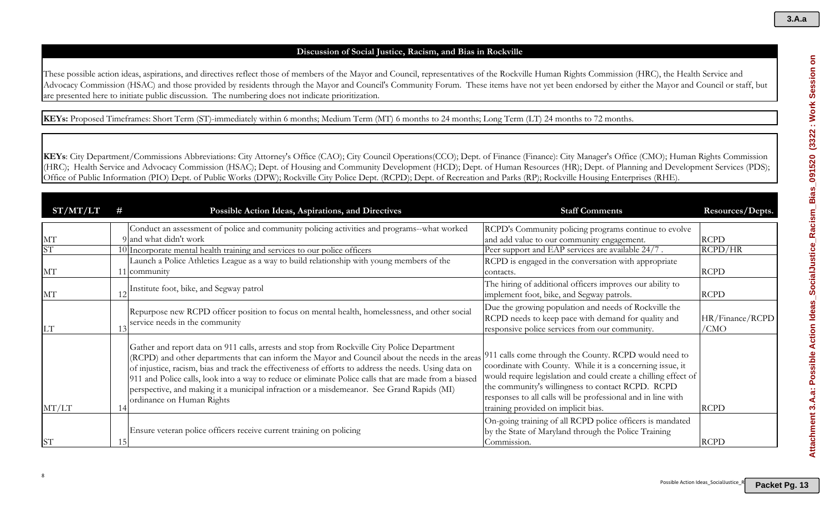# **Discussion of Social Justice, Racism, and Bias in Rockville**

These possible action ideas, aspirations, and directives reflect those of members of the Mayor and Council, representatives of the Rockville Human Rights Commission (HRC), the Health Service and Advocacy Commission (HSAC) and those provided by residents through the Mayor and Council's Community Forum. These items have not yet been endorsed by either the Mayor and Council or staff, but are presented here to initiate public discussion. The numbering does not indicate prioritization.

**KEYs:** Proposed Timeframes: Short Term (ST)-immediately within 6 months; Medium Term (MT) 6 months to 24 months; Long Term (LT) 24 months to 72 months.

| ST/MT/LT  |    | Possible Action Ideas, Aspirations, and Directives                                                                                                                                                                                                                                                                                                                                                                                                                                                                                                                                                          | <b>Staff Comments</b>                                                                                                                                                                                                                                                                     | Resources/Depts.        |
|-----------|----|-------------------------------------------------------------------------------------------------------------------------------------------------------------------------------------------------------------------------------------------------------------------------------------------------------------------------------------------------------------------------------------------------------------------------------------------------------------------------------------------------------------------------------------------------------------------------------------------------------------|-------------------------------------------------------------------------------------------------------------------------------------------------------------------------------------------------------------------------------------------------------------------------------------------|-------------------------|
| MT<br>SΊ  |    | Conduct an assessment of police and community policing activities and programs--what worked<br>9 and what didn't work<br>10 Incorporate mental health training and services to our police officers                                                                                                                                                                                                                                                                                                                                                                                                          | RCPD's Community policing programs continue to evolve<br>and add value to our community engagement.<br>Peer support and EAP services are available 24/7.                                                                                                                                  | <b>RCPD</b><br>RCPD/HR  |
| MT        |    | Launch a Police Athletics League as a way to build relationship with young members of the<br>11 community                                                                                                                                                                                                                                                                                                                                                                                                                                                                                                   | RCPD is engaged in the conversation with appropriate<br>contacts.                                                                                                                                                                                                                         | <b>RCPD</b>             |
| MT        |    | Institute foot, bike, and Segway patrol                                                                                                                                                                                                                                                                                                                                                                                                                                                                                                                                                                     | The hiring of additional officers improves our ability to<br>implement foot, bike, and Segway patrols.                                                                                                                                                                                    | <b>RCPD</b>             |
| LT        |    | Repurpose new RCPD officer position to focus on mental health, homelessness, and other social<br>service needs in the community                                                                                                                                                                                                                                                                                                                                                                                                                                                                             | Due the growing population and needs of Rockville the<br>RCPD needs to keep pace with demand for quality and<br>responsive police services from our community.                                                                                                                            | HR/Finance/RCPD<br>/CMO |
| MT/LT     |    | Gather and report data on 911 calls, arrests and stop from Rockville City Police Department<br>(RCPD) and other departments that can inform the Mayor and Council about the needs in the areas <sup>911</sup> calls come through the County. RCPD would need to<br>of injustice, racism, bias and track the effectiveness of efforts to address the needs. Using data on<br>911 and Police calls, look into a way to reduce or eliminate Police calls that are made from a biased<br>perspective, and making it a municipal infraction or a misdemeanor. See Grand Rapids (MI)<br>ordinance on Human Rights | coordinate with County. While it is a concerning issue, it<br>would require legislation and could create a chilling effect of<br>the community's willingness to contact RCPD. RCPD<br>responses to all calls will be professional and in line with<br>training provided on implicit bias. | <b>RCPD</b>             |
| <b>ST</b> | 15 | Ensure veteran police officers receive current training on policing                                                                                                                                                                                                                                                                                                                                                                                                                                                                                                                                         | On-going training of all RCPD police officers is mandated<br>by the State of Maryland through the Police Training<br>Commission.                                                                                                                                                          | <b>RCPD</b>             |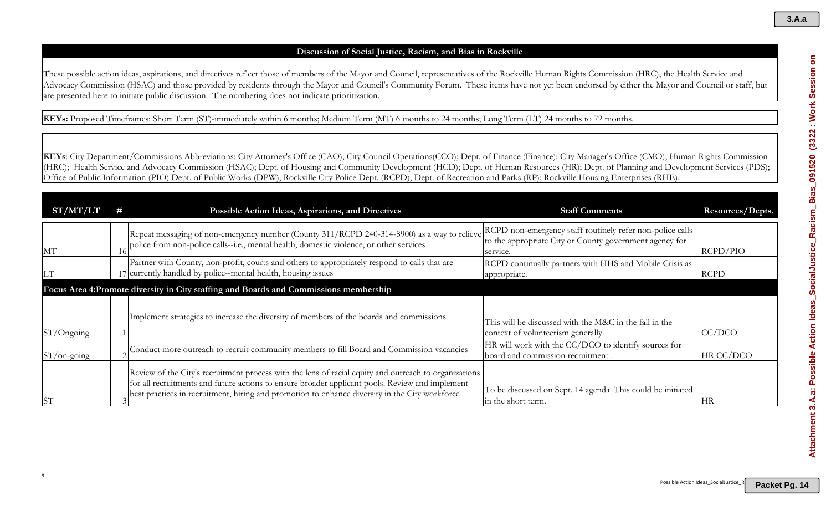# **Discussion of Social Justice, Racism, and Bias in Rockville**

These possible action ideas, aspirations, and directives reflect those of members of the Mayor and Council, representatives of the Rockville Human Rights Commission (HRC), the Health Service and Advocacy Commission (HSAC) and those provided by residents through the Mayor and Council's Community Forum. These items have not yet been endorsed by either the Mayor and Council or staff, but are presented here to initiate public discussion. The numbering does not indicate prioritization.

**KEYs:** Proposed Timeframes: Short Term (ST)-immediately within 6 months; Medium Term (MT) 6 months to 24 months; Long Term (LT) 24 months to 72 months.

| ST/MT/LT       | # | Possible Action Ideas, Aspirations, and Directives                                                                                                                                                                                                                                                         | <b>Staff Comments</b>                                                                                                            | Resources/Depts. |
|----------------|---|------------------------------------------------------------------------------------------------------------------------------------------------------------------------------------------------------------------------------------------------------------------------------------------------------------|----------------------------------------------------------------------------------------------------------------------------------|------------------|
| MT             |   | Repeat messaging of non-emergency number (County 311/RCPD 240-314-8900) as a way to relieve<br>police from non-police calls--i.e., mental health, domestic violence, or other services                                                                                                                     | RCPD non-emergency staff routinely refer non-police calls<br>to the appropriate City or County government agency for<br>service. | RCPD/PIO         |
| LT             |   | Partner with County, non-profit, courts and others to appropriately respond to calls that are<br>17 currently handled by police--mental health, housing issues                                                                                                                                             | RCPD continually partners with HHS and Mobile Crisis as<br>appropriate.                                                          | <b>RCPD</b>      |
|                |   | Focus Area 4: Promote diversity in City staffing and Boards and Commissions membership                                                                                                                                                                                                                     |                                                                                                                                  |                  |
| $ST/O$ ngoing  |   | Implement strategies to increase the diversity of members of the boards and commissions                                                                                                                                                                                                                    | This will be discussed with the M&C in the fall in the<br>context of volunteerism generally.                                     | CC/DCO           |
| $ST/$ on-going |   | Conduct more outreach to recruit community members to fill Board and Commission vacancies                                                                                                                                                                                                                  | HR will work with the CC/DCO to identify sources for<br>board and commission recruitment.                                        | HR CC/DCO        |
| <b>ST</b>      |   | Review of the City's recruitment process with the lens of racial equity and outreach to organizations<br>for all recruitments and future actions to ensure broader applicant pools. Review and implement<br>best practices in recruitment, hiring and promotion to enhance diversity in the City workforce | To be discussed on Sept. 14 agenda. This could be initiated<br>in the short term.                                                | HR               |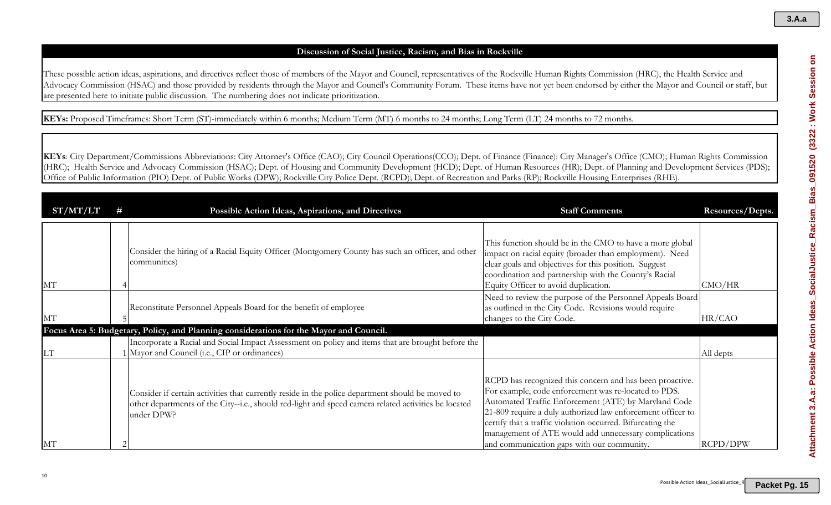# **Discussion of Social Justice, Racism, and Bias in Rockville**

These possible action ideas, aspirations, and directives reflect those of members of the Mayor and Council, representatives of the Rockville Human Rights Commission (HRC), the Health Service and Advocacy Commission (HSAC) and those provided by residents through the Mayor and Council's Community Forum. These items have not yet been endorsed by either the Mayor and Council or staff, but are presented here to initiate public discussion. The numbering does not indicate prioritization.

**KEYs:** Proposed Timeframes: Short Term (ST)-immediately within 6 months; Medium Term (MT) 6 months to 24 months; Long Term (LT) 24 months to 72 months.

| ST/MT/LT  | Possible Action Ideas, Aspirations, and Directives                                                                                                                                                                     | <b>Staff Comments</b>                                                                                                                                                                                                                                                                                                                                                                                        | Resources/Depts. |
|-----------|------------------------------------------------------------------------------------------------------------------------------------------------------------------------------------------------------------------------|--------------------------------------------------------------------------------------------------------------------------------------------------------------------------------------------------------------------------------------------------------------------------------------------------------------------------------------------------------------------------------------------------------------|------------------|
| MT        | Consider the hiring of a Racial Equity Officer (Montgomery County has such an officer, and other<br>communities)                                                                                                       | This function should be in the CMO to have a more global<br>impact on racial equity (broader than employment). Need<br>clear goals and objectives for this position. Suggest<br>coordination and partnership with the County's Racial<br>Equity Officer to avoid duplication.                                                                                                                                | CMO/HR           |
| МT        | Reconstitute Personnel Appeals Board for the benefit of employee                                                                                                                                                       | Need to review the purpose of the Personnel Appeals Board<br>as outlined in the City Code. Revisions would require<br>changes to the City Code.                                                                                                                                                                                                                                                              | HR/CAO           |
|           | Focus Area 5: Budgetary, Policy, and Planning considerations for the Mayor and Council.                                                                                                                                |                                                                                                                                                                                                                                                                                                                                                                                                              |                  |
| <b>LT</b> | Incorporate a Racial and Social Impact Assessment on policy and items that are brought before the<br>1 Mayor and Council (i.e., CIP or ordinances)                                                                     |                                                                                                                                                                                                                                                                                                                                                                                                              | All depts        |
| MT        | Consider if certain activities that currently reside in the police department should be moved to<br>other departments of the City--i.e., should red-light and speed camera related activities be located<br>under DPW? | RCPD has recognized this concern and has been proactive.<br>For example, code enforcement was re-located to PDS.<br>Automated Traffic Enforcement (ATE) by Maryland Code<br>21-809 require a duly authorized law enforcement officer to<br>certify that a traffic violation occurred. Bifurcating the<br>management of ATE would add unnecessary complications<br>and communication gaps with our community. | RCPD/DPW         |